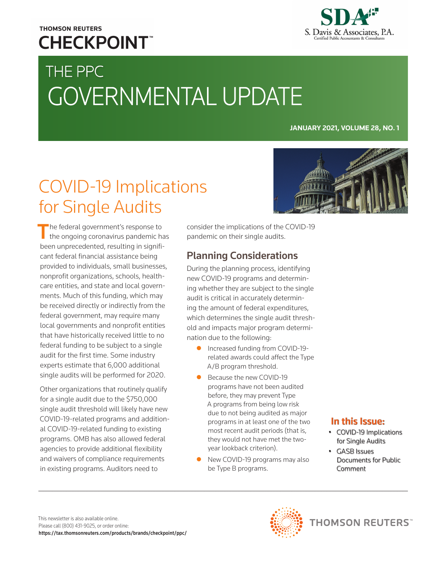## **THOMSON REUTERS CHECKPOINT**



# THE PPC GOVERNMENTAL UPDATE

**JANUARY 2021, VOLUME 28, NO. 1**

## COVID-19 Implications for Single Audits

 $\blacksquare$  he federal government's response to the ongoing coronavirus pandemic has been unprecedented, resulting in significant federal financial assistance being provided to individuals, small businesses, nonprofit organizations, schools, healthcare entities, and state and local governments. Much of this funding, which may be received directly or indirectly from the federal government, may require many local governments and nonprofit entities that have historically received little to no federal funding to be subject to a single audit for the first time. Some industry experts estimate that 6,000 additional single audits will be performed for 2020.

Other organizations that routinely qualify for a single audit due to the \$750,000 single audit threshold will likely have new COVID-19-related programs and additional COVID-19-related funding to existing programs. OMB has also allowed federal agencies to provide additional flexibility and waivers of compliance requirements in existing programs. Auditors need to

consider the implications of the COVID-19 pandemic on their single audits.

### Planning Considerations

During the planning process, identifying new COVID-19 programs and determining whether they are subject to the single audit is critical in accurately determining the amount of federal expenditures, which determines the single audit threshold and impacts major program determination due to the following:

- **•** Increased funding from COVID-19related awards could affect the Type A/B program threshold.
- Because the new COVID-19 programs have not been audited before, they may prevent Type A programs from being low risk due to not being audited as major programs in at least one of the two most recent audit periods (that is, they would not have met the twoyear lookback criterion).
- New COVID-19 programs may also be Type B programs.



## In this Issue:

- COVID-19 Implications for Single Audits
- GASB Issues Documents for Public Comment

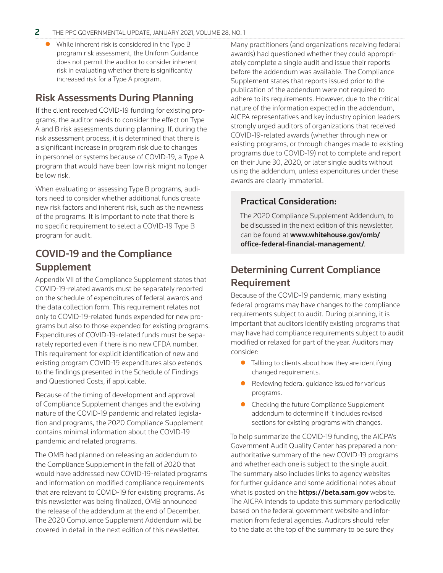While inherent risk is considered in the Type B program risk assessment, the Uniform Guidance does not permit the auditor to consider inherent risk in evaluating whether there is significantly increased risk for a Type A program.

#### Risk Assessments During Planning

If the client received COVID-19 funding for existing programs, the auditor needs to consider the effect on Type A and B risk assessments during planning. If, during the risk assessment process, it is determined that there is a significant increase in program risk due to changes in personnel or systems because of COVID-19, a Type A program that would have been low risk might no longer be low risk.

When evaluating or assessing Type B programs, auditors need to consider whether additional funds create new risk factors and inherent risk, such as the newness of the programs. It is important to note that there is no specific requirement to select a COVID-19 Type B program for audit.

### COVID-19 and the Compliance Supplement

Appendix VII of the Compliance Supplement states that COVID-19-related awards must be separately reported on the schedule of expenditures of federal awards and the data collection form. This requirement relates not only to COVID-19-related funds expended for new programs but also to those expended for existing programs. Expenditures of COVID-19-related funds must be separately reported even if there is no new CFDA number. This requirement for explicit identification of new and existing program COVID-19 expenditures also extends to the findings presented in the Schedule of Findings and Questioned Costs, if applicable.

Because of the timing of development and approval of Compliance Supplement changes and the evolving nature of the COVID-19 pandemic and related legislation and programs, the 2020 Compliance Supplement contains minimal information about the COVID-19 pandemic and related programs.

The OMB had planned on releasing an addendum to the Compliance Supplement in the fall of 2020 that would have addressed new COVID-19-related programs and information on modified compliance requirements that are relevant to COVID-19 for existing programs. As this newsletter was being finalized, OMB announced the release of the addendum at the end of December. The 2020 Compliance Supplement Addendum will be covered in detail in the next edition of this newsletter.

Many practitioners (and organizations receiving federal awards) had questioned whether they could appropriately complete a single audit and issue their reports before the addendum was available. The Compliance Supplement states that reports issued prior to the publication of the addendum were not required to adhere to its requirements. However, due to the critical nature of the information expected in the addendum, AICPA representatives and key industry opinion leaders strongly urged auditors of organizations that received COVID-19-related awards (whether through new or existing programs, or through changes made to existing programs due to COVID-19) not to complete and report on their June 30, 2020, or later single audits without using the addendum, unless expenditures under these awards are clearly immaterial.

#### Practical Consideration:

The 2020 Compliance Supplement Addendum, to be discussed in the next edition of this newsletter, can be found at www.whitehouse.gov/omb/ [office-federal-financial-management/](https://www.whitehouse.gov/omb/office-federal-financial-management/).

#### Determining Current Compliance Requirement

Because of the COVID-19 pandemic, many existing federal programs may have changes to the compliance requirements subject to audit. During planning, it is important that auditors identify existing programs that may have had compliance requirements subject to audit modified or relaxed for part of the year. Auditors may consider:

- $\bullet$  Talking to clients about how they are identifying changed requirements.
- Reviewing federal guidance issued for various programs.
- Checking the future Compliance Supplement addendum to determine if it includes revised sections for existing programs with changes.

To help summarize the COVID-19 funding, the AICPA's Government Audit Quality Center has prepared a nonauthoritative summary of the new COVID-19 programs and whether each one is subject to the single audit. The summary also includes links to agency websites for further guidance and some additional notes about what is posted on the **https://beta.sam.gov** website. The AICPA intends to update this summary periodically based on the federal government website and information from federal agencies. Auditors should refer to the date at the top of the summary to be sure they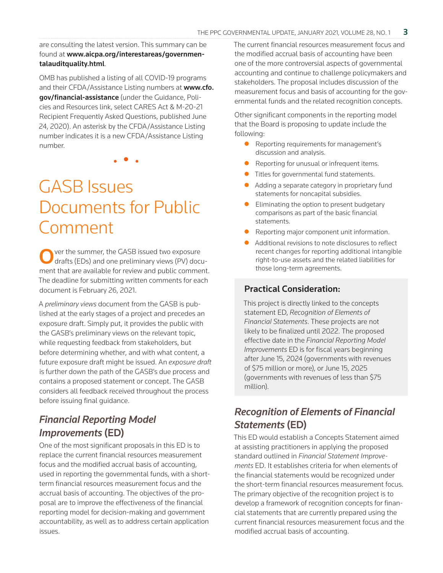are consulting the latest version. This summary can be found at [www.aicpa.org/interestareas/governmen](https://www.aicpa.org/interestareas/governmentalauditquality.html)talauditquality.html.

OMB has published a listing of all COVID-19 programs [and their CFDA/Assistance Listing numbers at](https://www.cfo.gov/financial-assistance) www.cfo. gov/financial-assistance (under the Guidance, Policies and Resources link, select CARES Act & M-20-21 Recipient Frequently Asked Questions, published June 24, 2020). An asterisk by the CFDA/Assistance Listing number indicates it is a new CFDA/Assistance Listing number.

• • •

## GASB Issues Documents for Public Comment

ver the summer, the GASB issued two exposure drafts (EDs) and one preliminary views (PV) document that are available for review and public comment. The deadline for submitting written comments for each document is February 26, 2021.

A *preliminary views* document from the GASB is published at the early stages of a project and precedes an exposure draft. Simply put, it provides the public with the GASB's preliminary views on the relevant topic, while requesting feedback from stakeholders, but before determining whether, and with what content, a future exposure draft might be issued. An *exposure draft* is further down the path of the GASB's due process and contains a proposed statement or concept. The GASB considers all feedback received throughout the process before issuing final guidance.

#### *Financial Reporting Model Improvements* (ED)

One of the most significant proposals in this ED is to replace the current financial resources measurement focus and the modified accrual basis of accounting, used in reporting the governmental funds, with a shortterm financial resources measurement focus and the accrual basis of accounting. The objectives of the proposal are to improve the effectiveness of the financial reporting model for decision-making and government accountability, as well as to address certain application issues.

The current financial resources measurement focus and the modified accrual basis of accounting have been one of the more controversial aspects of governmental accounting and continue to challenge policymakers and stakeholders. The proposal includes discussion of the measurement focus and basis of accounting for the governmental funds and the related recognition concepts.

Other significant components in the reporting model that the Board is proposing to update include the following:

- **•** Reporting requirements for management's discussion and analysis.
- **•** Reporting for unusual or infrequent items.
- **•** Titles for governmental fund statements.
- Adding a separate category in proprietary fund statements for noncapital subsidies.
- Eliminating the option to present budgetary comparisons as part of the basic financial statements.
- **•** Reporting major component unit information.
- Additional revisions to note disclosures to reflect recent changes for reporting additional intangible right-to-use assets and the related liabilities for those long-term agreements.

#### Practical Consideration:

This project is directly linked to the concepts statement ED, *Recognition of Elements of Financial Statements*. These projects are not likely to be finalized until 2022. The proposed effective date in the *Financial Reporting Model Improvements* ED is for fiscal years beginning after June 15, 2024 (governments with revenues of \$75 million or more), or June 15, 2025 (governments with revenues of less than \$75 million).

#### *Recognition of Elements of Financial Statements* (ED)

This ED would establish a Concepts Statement aimed at assisting practitioners in applying the proposed standard outlined in *Financial Statement Improvements* ED. It establishes criteria for when elements of the financial statements would be recognized under the short-term financial resources measurement focus. The primary objective of the recognition project is to develop a framework of recognition concepts for financial statements that are currently prepared using the current financial resources measurement focus and the modified accrual basis of accounting.